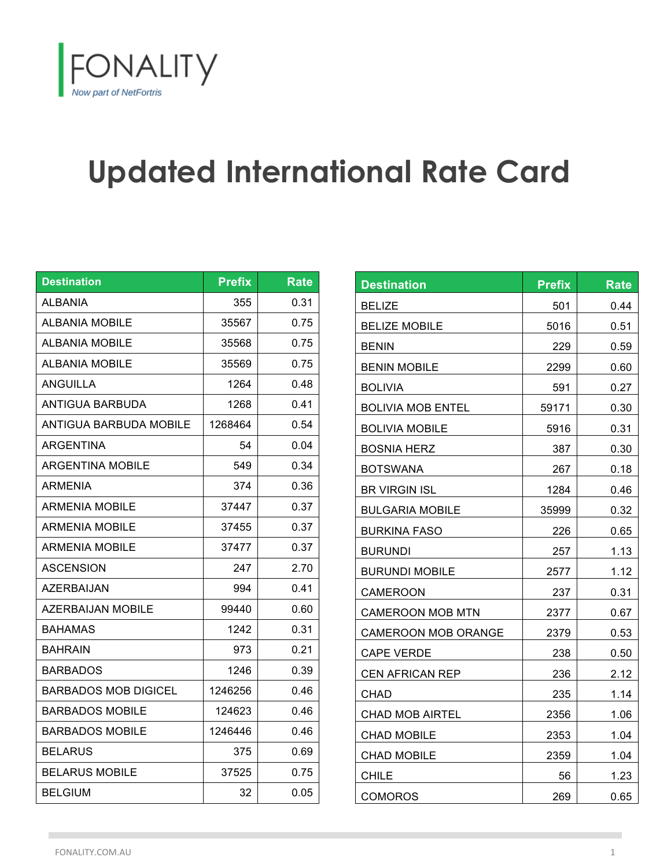

## **Updated International Rate Card**

| <b>Destination</b>      | <b>Prefix</b> | <b>Rate</b> |
|-------------------------|---------------|-------------|
| ALBANIA                 | 355           | 0.31        |
| <b>ALBANIA MOBILE</b>   | 35567         | 0.75        |
| ALBANIA MOBILE          | 35568         | 0.75        |
| <b>ALBANIA MOBILE</b>   | 35569         | 0.75        |
| ANGUILLA                | 1264          | 0.48        |
| ANTIGUA BARBUDA         | 1268          | 0.41        |
| ANTIGUA BARBUDA MOBILE  | 1268464       | 0.54        |
| ARGENTINA               | 54            | 0.04        |
| <b>ARGENTINA MOBILE</b> | 549           | 0.34        |
| ARMENIA                 | 374           | 0.36        |
| ARMENIA MOBILE          | 37447         | 0.37        |
| ARMENIA MOBILE          | 37455         | 0.37        |
| <b>ARMENIA MOBILE</b>   | 37477         | 0.37        |
| ASCENSION               | 247           | 2.70        |
| AZERBAIJAN              | 994           | 0.41        |
| AZERBAIJAN MOBILE       | 99440         | 0.60        |
| <b>BAHAMAS</b>          | 1242          | 0.31        |
| <b>BAHRAIN</b>          | 973           | 0.21        |
| <b>BARBADOS</b>         | 1246          | 0.39        |
| BARBADOS MOB DIGICEL    | 1246256       | 0.46        |
| <b>BARBADOS MOBILE</b>  | 124623        | 0.46        |
| <b>BARBADOS MOBILE</b>  | 1246446       | 0.46        |
| <b>BELARUS</b>          | 375           | 0.69        |
| <b>BELARUS MOBILE</b>   | 37525         | 0.75        |
| BELGIUM                 | 32            | 0.05        |

| <b>Destination</b>         | <b>Prefix</b> | <b>Rate</b> |
|----------------------------|---------------|-------------|
| <b>BELIZE</b>              | 501           | 0.44        |
| <b>BELIZE MOBILE</b>       | 5016          | 0.51        |
| <b>BENIN</b>               | 229           | 0.59        |
| <b>BENIN MOBILE</b>        | 2299          | 0.60        |
| <b>BOLIVIA</b>             | 591           | 0.27        |
| <b>BOLIVIA MOB ENTEL</b>   | 59171         | 0.30        |
| <b>BOLIVIA MOBILE</b>      | 5916          | 0.31        |
| <b>BOSNIA HERZ</b>         | 387           | 0.30        |
| <b>BOTSWANA</b>            | 267           | 0.18        |
| <b>BR VIRGIN ISL</b>       | 1284          | 0.46        |
| <b>BULGARIA MOBILE</b>     | 35999         | 0.32        |
| <b>BURKINA FASO</b>        | 226           | 0.65        |
| <b>BURUNDI</b>             | 257           | 1.13        |
| <b>BURUNDI MOBILE</b>      | 2577          | 1.12        |
| CAMEROON                   | 237           | 0.31        |
| <b>CAMEROON MOB MTN</b>    | 2377          | 0.67        |
| <b>CAMEROON MOB ORANGE</b> | 2379          | 0.53        |
| <b>CAPE VERDE</b>          | 238           | 0.50        |
| <b>CEN AFRICAN REP</b>     | 236           | 2.12        |
| <b>CHAD</b>                | 235           | 1.14        |
| <b>CHAD MOB AIRTEL</b>     | 2356          | 1.06        |
| <b>CHAD MOBILE</b>         | 2353          | 1.04        |
| <b>CHAD MOBILE</b>         | 2359          | 1.04        |
| <b>CHILE</b>               | 56            | 1.23        |
| <b>COMOROS</b>             | 269           | 0.65        |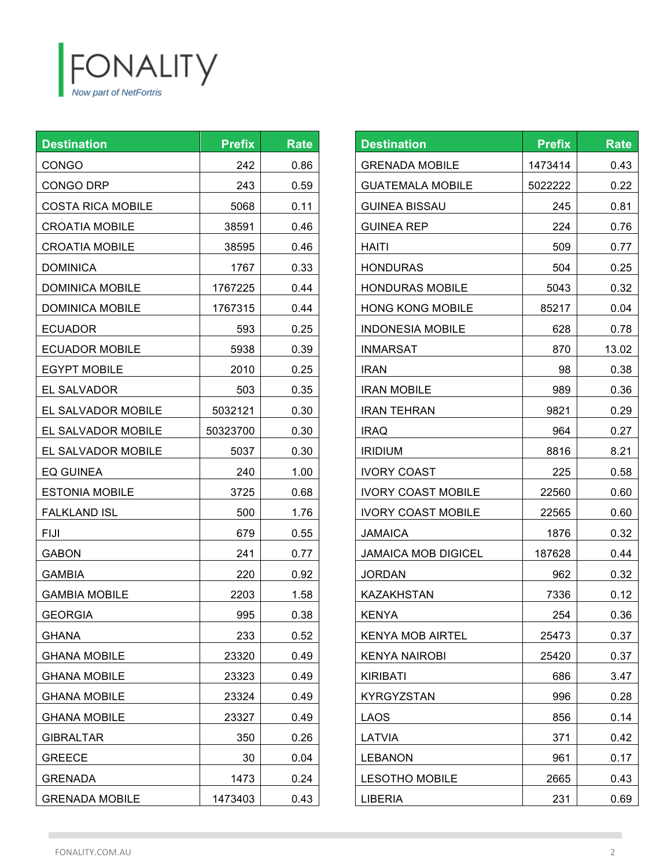

| <b>Destination</b>       | <b>Prefix</b> | <b>Rate</b> |
|--------------------------|---------------|-------------|
| <b>CONGO</b>             | 242           | 0.86        |
| CONGO DRP                | 243           | 0.59        |
| <b>COSTA RICA MOBILE</b> | 5068          | 0.11        |
| <b>CROATIA MOBILE</b>    | 38591         | 0.46        |
| <b>CROATIA MOBILE</b>    | 38595         | 0.46        |
| <b>DOMINICA</b>          | 1767          | 0.33        |
| <b>DOMINICA MOBILE</b>   | 1767225       | 0.44        |
| <b>DOMINICA MOBILE</b>   | 1767315       | 0.44        |
| <b>ECUADOR</b>           | 593           | 0.25        |
| <b>ECUADOR MOBILE</b>    | 5938          | 0.39        |
| <b>EGYPT MOBILE</b>      | 2010          | 0.25        |
| <b>EL SALVADOR</b>       | 503           | 0.35        |
| EL SALVADOR MOBILE       | 5032121       | 0.30        |
| EL SALVADOR MOBILE       | 50323700      | 0.30        |
| EL SALVADOR MOBILE       | 5037          | 0.30        |
| EQ GUINEA                | 240           | 1.00        |
| <b>ESTONIA MOBILE</b>    | 3725          | 0.68        |
| <b>FALKLAND ISL</b>      | 500           | 1.76        |
| FIJI                     | 679           | 0.55        |
| <b>GABON</b>             | 241           | 0.77        |
| <b>GAMBIA</b>            | 220           | 0.92        |
| <b>GAMBIA MOBILE</b>     | 2203          | 1.58        |
| <b>GEORGIA</b>           | 995           | 0.38        |
| <b>GHANA</b>             | 233           | 0.52        |
| <b>GHANA MOBILE</b>      | 23320         | 0.49        |
| <b>GHANA MOBILE</b>      | 23323         | 0.49        |
| <b>GHANA MOBILE</b>      | 23324         | 0.49        |
| <b>GHANA MOBILE</b>      | 23327         | 0.49        |
| <b>GIBRALTAR</b>         | 350           | 0.26        |
| <b>GREECE</b>            | 30            | 0.04        |
| <b>GRENADA</b>           | 1473          | 0.24        |
| <b>GRENADA MOBILE</b>    | 1473403       | 0.43        |

| <b>Destination</b>         | <b>Prefix</b> | <b>Rate</b> |
|----------------------------|---------------|-------------|
| <b>GRENADA MOBILE</b>      | 1473414       | 0.43        |
| <b>GUATEMALA MOBILE</b>    | 5022222       | 0.22        |
| GUINEA BISSAU              | 245           | 0.81        |
| <b>GUINEA REP</b>          | 224           | 0.76        |
| <b>HAITI</b>               | 509           | 0.77        |
| <b>HONDURAS</b>            | 504           | 0.25        |
| <b>HONDURAS MOBILE</b>     | 5043          | 0.32        |
| <b>HONG KONG MOBILE</b>    | 85217         | 0.04        |
| <b>INDONESIA MOBILE</b>    | 628           | 0.78        |
| <b>INMARSAT</b>            | 870           | 13.02       |
| <b>IRAN</b>                | 98            | 0.38        |
| IRAN MOBILE                | 989           | 0.36        |
| <b>IRAN TEHRAN</b>         | 9821          | 0.29        |
| <b>IRAQ</b>                | 964           | 0.27        |
| <b>IRIDIUM</b>             | 8816          | 8.21        |
| <b>IVORY COAST</b>         | 225           | 0.58        |
| <b>IVORY COAST MOBILE</b>  | 22560         | 0.60        |
| <b>IVORY COAST MOBILE</b>  | 22565         | 0.60        |
| JAMAICA                    | 1876          | 0.32        |
| <b>JAMAICA MOB DIGICEL</b> | 187628        | 0.44        |
| <b>JORDAN</b>              | 962           | 0.32        |
| <b>KAZAKHSTAN</b>          | 7336          | 0.12        |
| <b>KENYA</b>               | 254           | 0.36        |
| <b>KENYA MOB AIRTEL</b>    | 25473         | 0.37        |
| <b>KENYA NAIROBI</b>       | 25420         | 0.37        |
| <b>KIRIBATI</b>            | 686           | 3.47        |
| <b>KYRGYZSTAN</b>          | 996           | 0.28        |
| LAOS                       | 856           | 0.14        |
| LATVIA                     | 371           | 0.42        |
| <b>LEBANON</b>             | 961           | 0.17        |
| <b>LESOTHO MOBILE</b>      | 2665          | 0.43        |
| <b>LIBERIA</b>             | 231           | 0.69        |

**COL**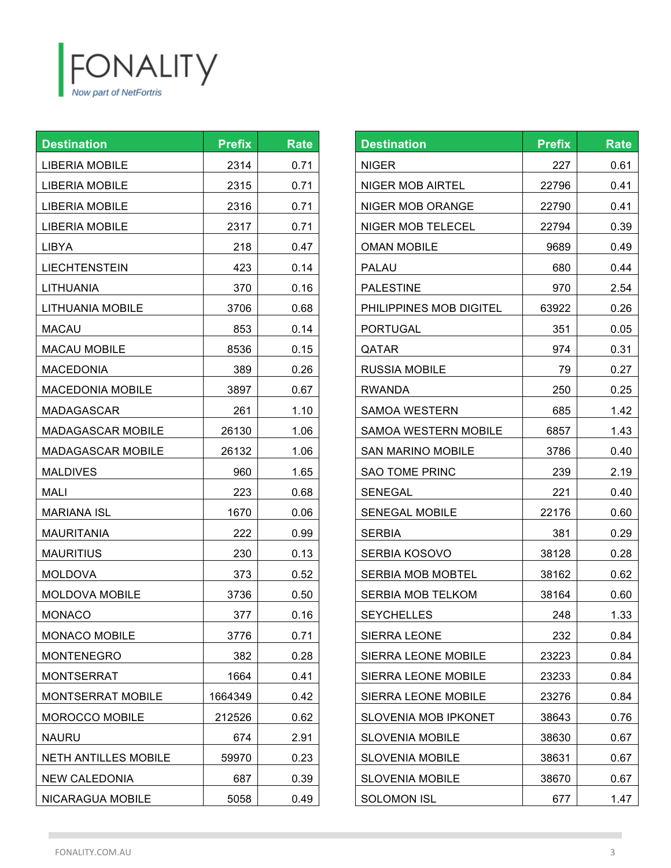

| <b>Destination</b>          | <b>Prefix</b> | <b>Rate</b> |
|-----------------------------|---------------|-------------|
| <b>LIBERIA MOBILE</b>       | 2314          | 0.71        |
| <b>LIBERIA MOBILE</b>       | 2315          | 0.71        |
| <b>LIBERIA MOBILE</b>       | 2316          | 0.71        |
| <b>LIBERIA MOBILE</b>       | 2317          | 0.71        |
| LIBYA                       | 218           | 0.47        |
| <b>LIECHTENSTEIN</b>        | 423           | 0.14        |
| <b>LITHUANIA</b>            | 370           | 0.16        |
| LITHUANIA MOBILE            | 3706          | 0.68        |
| <b>MACAU</b>                | 853           | 0.14        |
| <b>MACAU MOBILE</b>         | 8536          | 0.15        |
| <b>MACEDONIA</b>            | 389           | 0.26        |
| <b>MACEDONIA MOBILE</b>     | 3897          | 0.67        |
| <b>MADAGASCAR</b>           | 261           | 1.10        |
| MADAGASCAR MOBILE           | 26130         | 1.06        |
| MADAGASCAR MOBILE           | 26132         | 1.06        |
| <b>MALDIVES</b>             | 960           | 1.65        |
| MALI                        | 223           | 0.68        |
| <b>MARIANA ISL</b>          | 1670          | 0.06        |
| MAURITANIA                  | 222           | 0.99        |
| <b>MAURITIUS</b>            | 230           | 0.13        |
| <b>MOLDOVA</b>              | 373           | 0.52        |
| <b>MOLDOVA MOBILE</b>       | 3736          | 0.50        |
| MONACO                      | 377           | 0.16        |
| <b>MONACO MOBILE</b>        | 3776          | 0.71        |
| <b>MONTENEGRO</b>           | 382           | 0.28        |
| MONTSERRAT                  | 1664          | 0.41        |
| <b>MONTSERRAT MOBILE</b>    | 1664349       | 0.42        |
| <b>MOROCCO MOBILE</b>       | 212526        | 0.62        |
| <b>NAURU</b>                | 674           | 2.91        |
| <b>NETH ANTILLES MOBILE</b> | 59970         | 0.23        |
| <b>NEW CALEDONIA</b>        | 687           | 0.39        |
| NICARAGUA MOBILE            | 5058          | 0.49        |

| <b>Destination</b>          | <b>Prefix</b> | <b>Rate</b> |
|-----------------------------|---------------|-------------|
| NIGER                       | 227           | 0.61        |
| NIGER MOB AIRTEL            | 22796         | 0.41        |
| NIGER MOB ORANGE            | 22790         | 0.41        |
| <b>NIGER MOB TELECEL</b>    | 22794         | 0.39        |
| <b>OMAN MOBILE</b>          | 9689          | 0.49        |
| PALAU                       | 680           | 0.44        |
| <b>PALESTINE</b>            | 970           | 2.54        |
| PHILIPPINES MOB DIGITEL     | 63922         | 0.26        |
| PORTUGAL                    | 351           | 0.05        |
| QATAR                       | 974           | 0.31        |
| RUSSIA MOBILE               | 79            | 0.27        |
| RWANDA                      | 250           | 0.25        |
| <b>SAMOA WESTERN</b>        | 685           | 1.42        |
| SAMOA WESTERN MOBILE        | 6857          | 1.43        |
| <b>SAN MARINO MOBILE</b>    | 3786          | 0.40        |
| <b>SAO TOME PRINC</b>       | 239           | 2.19        |
| SENEGAL                     | 221           | 0.40        |
| <b>SENEGAL MOBILE</b>       | 22176         | 0.60        |
| SERBIA                      | 381           | 0.29        |
| SERBIA KOSOVO               | 38128         | 0.28        |
| <b>SERBIA MOB MOBTEL</b>    | 38162         | 0.62        |
| SERBIA MOB TELKOM           | 38164         | 0.60        |
| <b>SEYCHELLES</b>           | 248           | 1.33        |
| <b>SIERRA LEONE</b>         | 232           | 0.84        |
| SIERRA LEONE MOBILE         | 23223         | 0.84        |
| <b>SIERRA LEONE MOBILE</b>  | 23233         | 0.84        |
| SIERRA LEONE MOBILE         | 23276         | 0.84        |
| <b>SLOVENIA MOB IPKONET</b> | 38643         | 0.76        |
| <b>SLOVENIA MOBILE</b>      | 38630         | 0.67        |
| <b>SLOVENIA MOBILE</b>      | 38631         | 0.67        |
| <b>SLOVENIA MOBILE</b>      | 38670         | 0.67        |
| <b>SOLOMON ISL</b>          | 677           | 1.47        |

**COL**